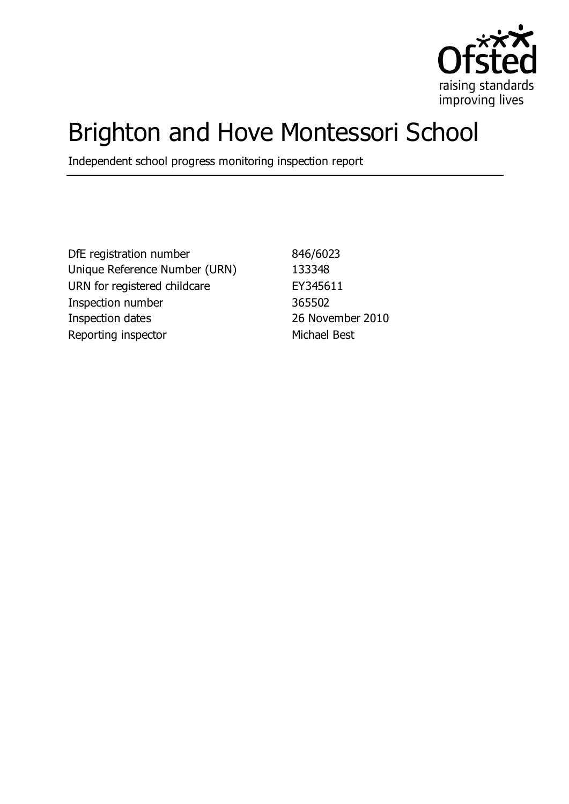

# Brighton and Hove Montessori School

Independent school progress monitoring inspection report

DfE registration number 846/6023 Unique Reference Number (URN) 133348 URN for registered childcare EY345611 Inspection number 365502 Inspection dates 26 November 2010 Reporting inspector Michael Best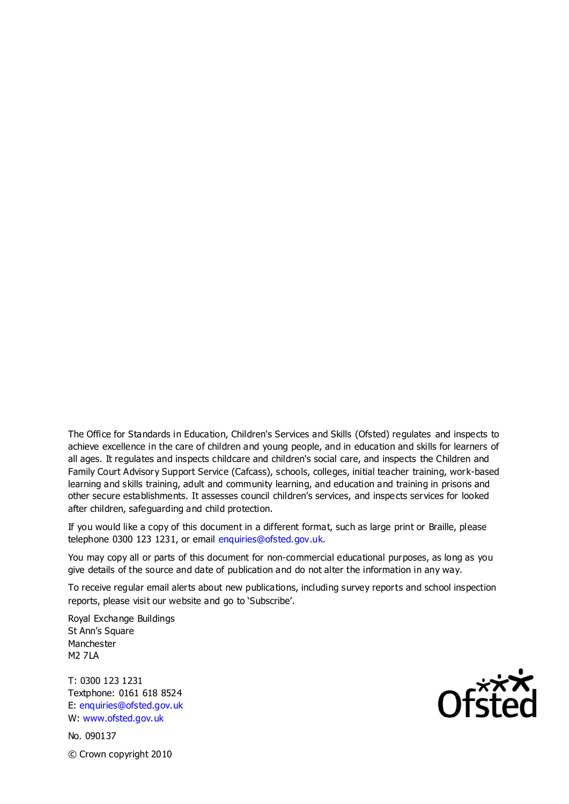The Office for Standards in Education, Children's Services and Skills (Ofsted) regulates and inspects to achieve excellence in the care of children and young people, and in education and skills for learners of all ages. It regulates and inspects childcare and children's social care, and inspects the Children and Family Court Advisory Support Service (Cafcass), schools, colleges, initial teacher training, work-based learning and skills training, adult and community learning, and education and training in prisons and other secure establishments. It assesses council children's services, and inspects services for looked after children, safeguarding and child protection.

If you would like a copy of this document in a different format, such as large print or Braille, please telephone 0300 123 1231, or email enquiries@ofsted.gov.uk.

You may copy all or parts of this document for non-commercial educational purposes, as long as you give details of the source and date of publication and do not alter the information in any way.

To receive regular email alerts about new publications, including survey reports and school inspection reports, please visit our website and go to 'Subscribe'.

Royal Exchange Buildings St Ann's Square Manchester M2 7LA

T: 0300 123 1231 Textphone: 0161 618 8524 E: enquiries@ofsted.gov.uk W: www.ofsted.gov.uk

No. 090137 © Crown copyright 2010

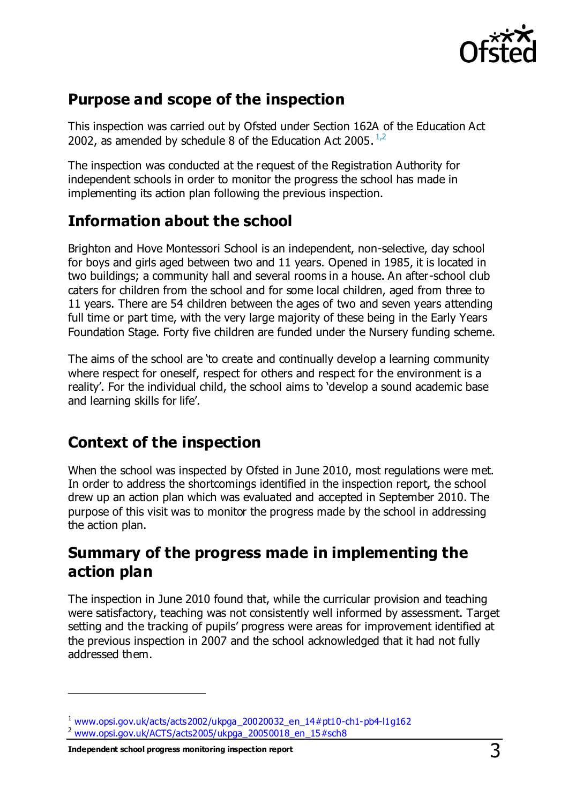

#### **Purpose and scope of the inspection**

This inspection was carried out by Ofsted under Section 162A of the Education Act 2002, as amended by schedule 8 of the Education Act 2005.  $^{1,2}$ 

The inspection was conducted at the request of the Registration Authority for independent schools in order to monitor the progress the school has made in implementing its action plan following the previous inspection.

#### **Information about the school**

Brighton and Hove Montessori School is an independent, non-selective, day school for boys and girls aged between two and 11 years. Opened in 1985, it is located in two buildings; a community hall and several rooms in a house. An after-school club caters for children from the school and for some local children, aged from three to 11 years. There are 54 children between the ages of two and seven years attending full time or part time, with the very large majority of these being in the Early Years Foundation Stage. Forty five children are funded under the Nursery funding scheme.

The aims of the school are 'to create and continually develop a learning community where respect for oneself, respect for others and respect for the environment is a reality'. For the individual child, the school aims to 'develop a sound academic base and learning skills for life'.

#### **Context of the inspection**

When the school was inspected by Ofsted in June 2010, most regulations were met. In order to address the shortcomings identified in the inspection report, the school drew up an action plan which was evaluated and accepted in September 2010. The purpose of this visit was to monitor the progress made by the school in addressing the action plan.

#### **Summary of the progress made in implementing the action plan**

The inspection in June 2010 found that, while the curricular provision and teaching were satisfactory, teaching was not consistently well informed by assessment. Target setting and the tracking of pupils' progress were areas for improvement identified at the previous inspection in 2007 and the school acknowledged that it had not fully addressed them.

**Independent school progress monitoring inspection report** 3

 $\overline{a}$ 

 $1$  [www.opsi.gov.uk/acts/acts2002/ukpga\\_20020032\\_en\\_14#pt10-ch1-pb4-l1g162](https://www.opsi.gov.uk/acts/acts2002/ukpga_20020032_en_14%23pt10-ch1-pb4-l1g162)

<sup>2</sup> [www.opsi.gov.uk/ACTS/acts2005/ukpga\\_20050018\\_en\\_15#sch8](http://www.opsi.gov.uk/ACTS/acts2005/ukpga_20050018_en_15#sch8)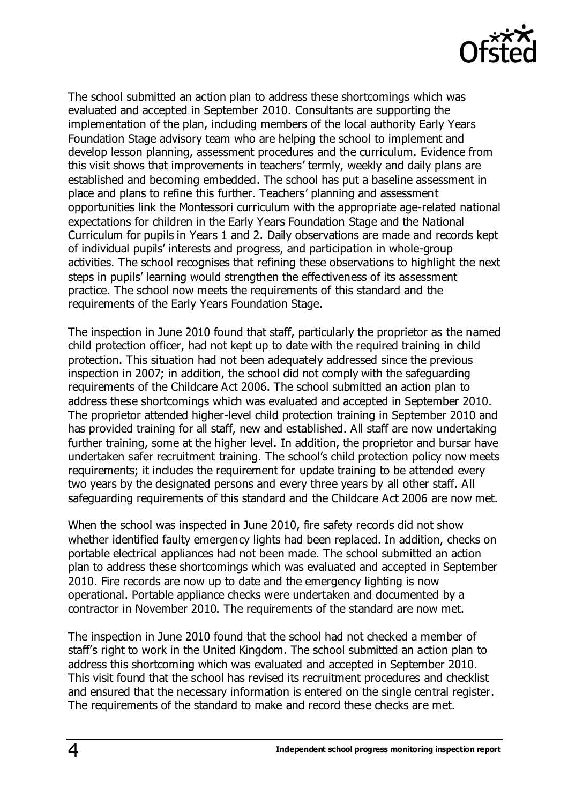

The school submitted an action plan to address these shortcomings which was evaluated and accepted in September 2010. Consultants are supporting the implementation of the plan, including members of the local authority Early Years Foundation Stage advisory team who are helping the school to implement and develop lesson planning, assessment procedures and the curriculum. Evidence from this visit shows that improvements in teachers' termly, weekly and daily plans are established and becoming embedded. The school has put a baseline assessment in place and plans to refine this further. Teachers' planning and assessment opportunities link the Montessori curriculum with the appropriate age-related national expectations for children in the Early Years Foundation Stage and the National Curriculum for pupils in Years 1 and 2. Daily observations are made and records kept of individual pupils' interests and progress, and participation in whole-group activities. The school recognises that refining these observations to highlight the next steps in pupils' learning would strengthen the effectiveness of its assessment practice. The school now meets the requirements of this standard and the requirements of the Early Years Foundation Stage.

The inspection in June 2010 found that staff, particularly the proprietor as the named child protection officer, had not kept up to date with the required training in child protection. This situation had not been adequately addressed since the previous inspection in 2007; in addition, the school did not comply with the safeguarding requirements of the Childcare Act 2006. The school submitted an action plan to address these shortcomings which was evaluated and accepted in September 2010. The proprietor attended higher-level child protection training in September 2010 and has provided training for all staff, new and established. All staff are now undertaking further training, some at the higher level. In addition, the proprietor and bursar have undertaken safer recruitment training. The school's child protection policy now meets requirements; it includes the requirement for update training to be attended every two years by the designated persons and every three years by all other staff. All safeguarding requirements of this standard and the Childcare Act 2006 are now met.

When the school was inspected in June 2010, fire safety records did not show whether identified faulty emergency lights had been replaced. In addition, checks on portable electrical appliances had not been made. The school submitted an action plan to address these shortcomings which was evaluated and accepted in September 2010. Fire records are now up to date and the emergency lighting is now operational. Portable appliance checks were undertaken and documented by a contractor in November 2010. The requirements of the standard are now met.

The inspection in June 2010 found that the school had not checked a member of staff's right to work in the United Kingdom. The school submitted an action plan to address this shortcoming which was evaluated and accepted in September 2010. This visit found that the school has revised its recruitment procedures and checklist and ensured that the necessary information is entered on the single central register. The requirements of the standard to make and record these checks are met.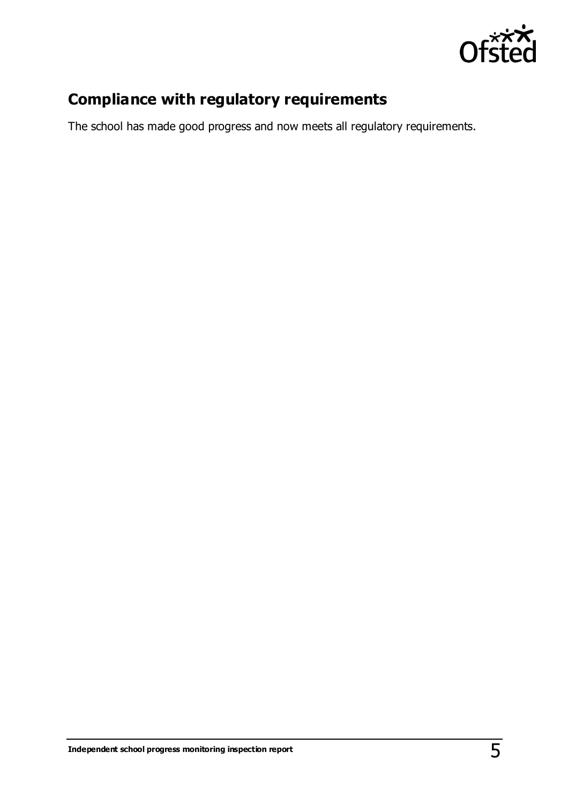

### **Compliance with regulatory requirements**

The school has made good progress and now meets all regulatory requirements.